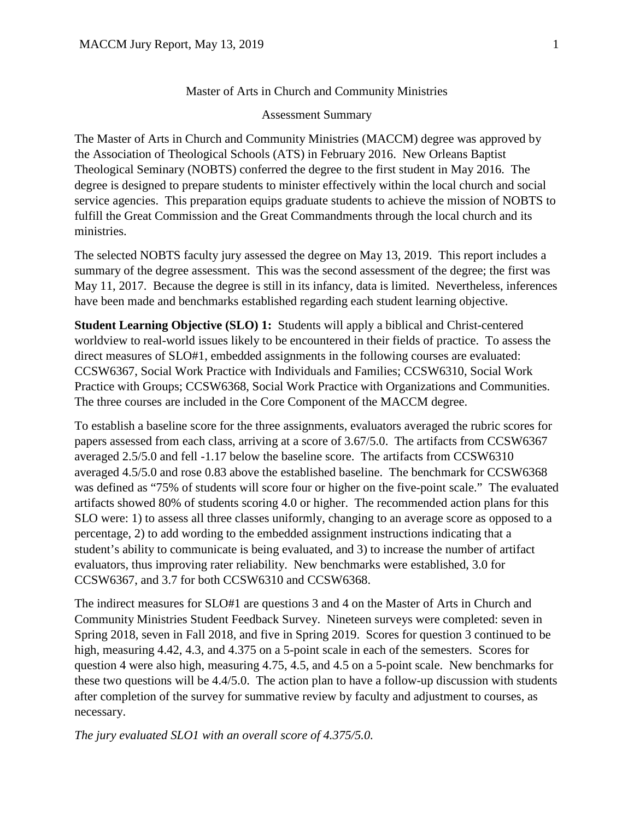## Master of Arts in Church and Community Ministries

## Assessment Summary

The Master of Arts in Church and Community Ministries (MACCM) degree was approved by the Association of Theological Schools (ATS) in February 2016. New Orleans Baptist Theological Seminary (NOBTS) conferred the degree to the first student in May 2016. The degree is designed to prepare students to minister effectively within the local church and social service agencies. This preparation equips graduate students to achieve the mission of NOBTS to fulfill the Great Commission and the Great Commandments through the local church and its ministries.

The selected NOBTS faculty jury assessed the degree on May 13, 2019. This report includes a summary of the degree assessment. This was the second assessment of the degree; the first was May 11, 2017. Because the degree is still in its infancy, data is limited. Nevertheless, inferences have been made and benchmarks established regarding each student learning objective.

**Student Learning Objective (SLO) 1:** Students will apply a biblical and Christ-centered worldview to real-world issues likely to be encountered in their fields of practice. To assess the direct measures of SLO#1, embedded assignments in the following courses are evaluated: CCSW6367, Social Work Practice with Individuals and Families; CCSW6310, Social Work Practice with Groups; CCSW6368, Social Work Practice with Organizations and Communities. The three courses are included in the Core Component of the MACCM degree.

To establish a baseline score for the three assignments, evaluators averaged the rubric scores for papers assessed from each class, arriving at a score of 3.67/5.0. The artifacts from CCSW6367 averaged 2.5/5.0 and fell -1.17 below the baseline score. The artifacts from CCSW6310 averaged 4.5/5.0 and rose 0.83 above the established baseline. The benchmark for CCSW6368 was defined as "75% of students will score four or higher on the five-point scale." The evaluated artifacts showed 80% of students scoring 4.0 or higher. The recommended action plans for this SLO were: 1) to assess all three classes uniformly, changing to an average score as opposed to a percentage, 2) to add wording to the embedded assignment instructions indicating that a student's ability to communicate is being evaluated, and 3) to increase the number of artifact evaluators, thus improving rater reliability. New benchmarks were established, 3.0 for CCSW6367, and 3.7 for both CCSW6310 and CCSW6368.

The indirect measures for SLO#1 are questions 3 and 4 on the Master of Arts in Church and Community Ministries Student Feedback Survey. Nineteen surveys were completed: seven in Spring 2018, seven in Fall 2018, and five in Spring 2019. Scores for question 3 continued to be high, measuring 4.42, 4.3, and 4.375 on a 5-point scale in each of the semesters. Scores for question 4 were also high, measuring 4.75, 4.5, and 4.5 on a 5-point scale. New benchmarks for these two questions will be 4.4/5.0. The action plan to have a follow-up discussion with students after completion of the survey for summative review by faculty and adjustment to courses, as necessary.

*The jury evaluated SLO1 with an overall score of 4.375/5.0.*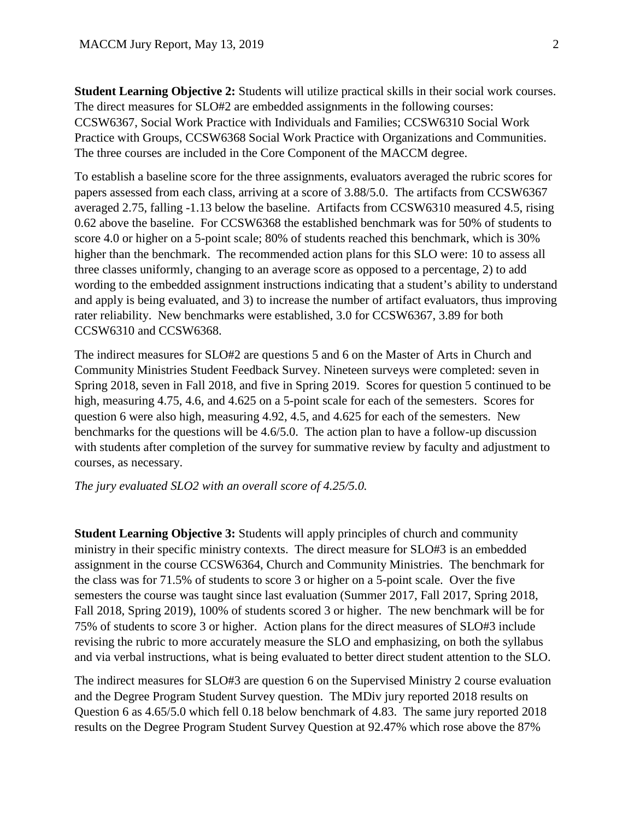**Student Learning Objective 2:** Students will utilize practical skills in their social work courses. The direct measures for SLO#2 are embedded assignments in the following courses: CCSW6367, Social Work Practice with Individuals and Families; CCSW6310 Social Work Practice with Groups, CCSW6368 Social Work Practice with Organizations and Communities. The three courses are included in the Core Component of the MACCM degree.

To establish a baseline score for the three assignments, evaluators averaged the rubric scores for papers assessed from each class, arriving at a score of 3.88/5.0. The artifacts from CCSW6367 averaged 2.75, falling -1.13 below the baseline. Artifacts from CCSW6310 measured 4.5, rising 0.62 above the baseline. For CCSW6368 the established benchmark was for 50% of students to score 4.0 or higher on a 5-point scale; 80% of students reached this benchmark, which is 30% higher than the benchmark. The recommended action plans for this SLO were: 10 to assess all three classes uniformly, changing to an average score as opposed to a percentage, 2) to add wording to the embedded assignment instructions indicating that a student's ability to understand and apply is being evaluated, and 3) to increase the number of artifact evaluators, thus improving rater reliability. New benchmarks were established, 3.0 for CCSW6367, 3.89 for both CCSW6310 and CCSW6368.

The indirect measures for SLO#2 are questions 5 and 6 on the Master of Arts in Church and Community Ministries Student Feedback Survey. Nineteen surveys were completed: seven in Spring 2018, seven in Fall 2018, and five in Spring 2019. Scores for question 5 continued to be high, measuring 4.75, 4.6, and 4.625 on a 5-point scale for each of the semesters. Scores for question 6 were also high, measuring 4.92, 4.5, and 4.625 for each of the semesters. New benchmarks for the questions will be 4.6/5.0. The action plan to have a follow-up discussion with students after completion of the survey for summative review by faculty and adjustment to courses, as necessary.

*The jury evaluated SLO2 with an overall score of 4.25/5.0.*

**Student Learning Objective 3:** Students will apply principles of church and community ministry in their specific ministry contexts. The direct measure for SLO#3 is an embedded assignment in the course CCSW6364, Church and Community Ministries. The benchmark for the class was for 71.5% of students to score 3 or higher on a 5-point scale. Over the five semesters the course was taught since last evaluation (Summer 2017, Fall 2017, Spring 2018, Fall 2018, Spring 2019), 100% of students scored 3 or higher. The new benchmark will be for 75% of students to score 3 or higher. Action plans for the direct measures of SLO#3 include revising the rubric to more accurately measure the SLO and emphasizing, on both the syllabus and via verbal instructions, what is being evaluated to better direct student attention to the SLO.

The indirect measures for SLO#3 are question 6 on the Supervised Ministry 2 course evaluation and the Degree Program Student Survey question. The MDiv jury reported 2018 results on Question 6 as 4.65/5.0 which fell 0.18 below benchmark of 4.83. The same jury reported 2018 results on the Degree Program Student Survey Question at 92.47% which rose above the 87%